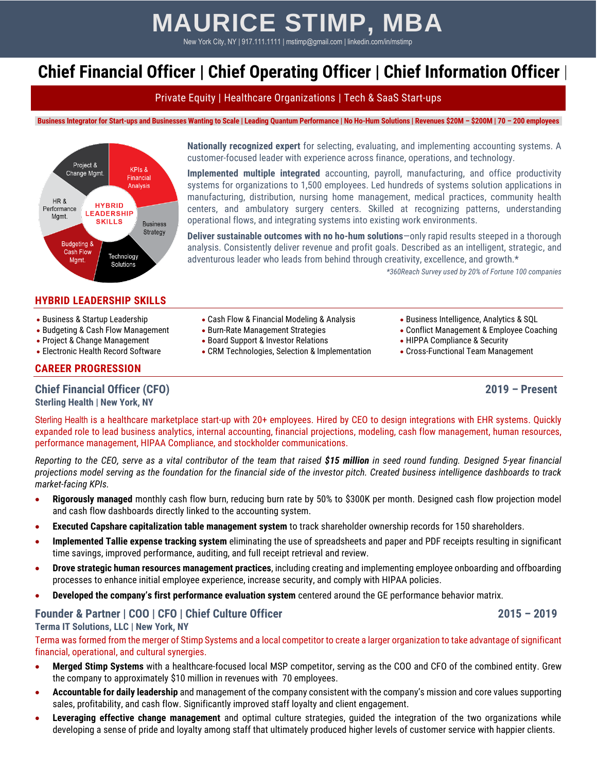# **MAURICE STIMP, MBA**

New York City, NY | 917.111.1111 | mstimp@gmail.com | linkedin.com/in/mstimp

# **Chief Financial Officer | Chief Operating Officer | Chief Information Officer |**

Private Equity | Healthcare Organizations | Tech & SaaS Start-ups

Business Integrator for Start-ups and Businesses Wanting to Scale | Leading Quantum Performance | No Ho-Hum Solutions | Revenues \$20M - \$200M | 70 - 200 employees



# **HYBRID LEADERSHIP SKILLS**

- 
- 
- 
- 

# **CAREER PROGRESSION**

**Chief Financial Officer (CFO) 2019 – Present**

**Sterling Health | New York, NY**

centers, and ambulatory surgery centers. Skilled at recognizing patterns, understanding operational flows, and integrating systems into existing work environments.

**Deliver sustainable outcomes with no ho-hum solutions**—only rapid results steeped in a thorough analysis. Consistently deliver revenue and profit goals. Described as an intelligent, strategic, and adventurous leader who leads from behind through creativity, excellence, and growth.\*

**Nationally recognized expert** for selecting, evaluating, and implementing accounting systems. A

**Implemented multiple integrated** accounting, payroll, manufacturing, and office productivity systems for organizations to 1,500 employees. Led hundreds of systems solution applications in manufacturing, distribution, nursing home management, medical practices, community health

customer-focused leader with experience across finance, operations, and technology.

*\*360Reach Survey used by 20% of Fortune 100 companies*

- Business & Startup Leadership Cash Flow & Financial Modeling & Analysis Business Intelligence, Analytics & SQL
	-
- Project & Change Management Board Support & Investor Relations HIPPA Compliance & Security
- Electronic Health Record Software CRM Technologies, Selection & Implementation Cross-Functional Team Management
- 
- Budgeting & Cash Flow Management Burn-Rate Management Strategies Conflict Management & Employee Coaching
	-
	-

[Sterling](http://www.slingshothealth.com/) Health is a healthcare marketplace start-up with 20+ employees. Hired by CEO to design integrations with EHR systems. Quickly expanded role to lead business analytics, internal accounting, financial projections, modeling, cash flow management, human resources, performance management, HIPAA Compliance, and stockholder communications.

*Reporting to the CEO, serve as a vital contributor of the team that raised \$15 million in seed round funding. Designed 5-year financial projections model serving as the foundation for the financial side of the investor pitch. Created business intelligence dashboards to track market-facing KPIs.*

- **Rigorously managed** monthly cash flow burn, reducing burn rate by 50% to \$300K per month. Designed cash flow projection model and cash flow dashboards directly linked to the accounting system.
- **Executed Capshare capitalization table management system** to track shareholder ownership records for 150 shareholders.
- **Implemented Tallie expense tracking system** eliminating the use of spreadsheets and paper and PDF receipts resulting in significant time savings, improved performance, auditing, and full receipt retrieval and review.
- **Drove strategic human resources management practices**, including creating and implementing employee onboarding and offboarding processes to enhance initial employee experience, increase security, and comply with HIPAA policies.
- **Developed the company's first performance evaluation system** centered around the GE performance behavior matrix.

# **Founder & Partner | COO | CFO | Chief Culture Officer 2015 – 2019**

# **Terma IT Solutions, LLC | New York, NY**

Terma was formed from the merger of Stimp Systems and a local competitor to create a larger organization to take advantage of significant financial, operational, and cultural synergies.

- **Merged Stimp Systems** with a healthcare-focused local MSP competitor, serving as the COO and CFO of the combined entity. Grew the company to approximately \$10 million in revenues with 70 employees.
- **Accountable for daily leadership** and management of the company consistent with the company's mission and core values supporting sales, profitability, and cash flow. Significantly improved staff loyalty and client engagement.
- **Leveraging effective change management** and optimal culture strategies, guided the integration of the two organizations while developing a sense of pride and loyalty among staff that ultimately produced higher levels of customer service with happier clients.